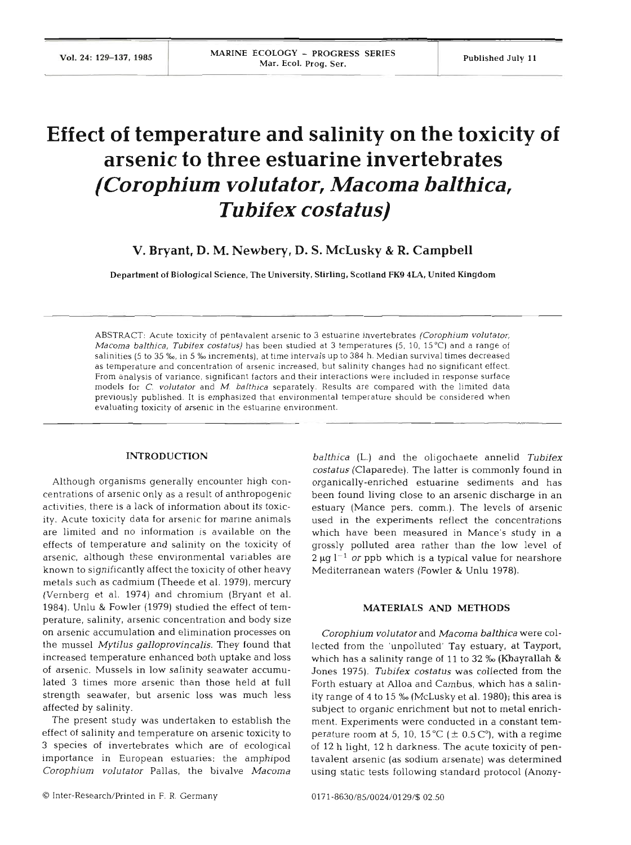# **Effect of temperature and salinity on the toxicity of arsenic to three estuarine invertebrates**  *(Corophium v01 utator, Macoma balthica, Tubifex costatus)*

**V. Bryant, D. M. Newbery, D. S. McLusky** & **R. Campbell** 

Department of Biological Science, The University, Stirling, Scotland **FK9 4LA,** United Kingdom

ABSTRACT: Acute toxicity of pentavalent arsenic to **3** estuarine invertebrates *(Corophium volutator, Macoma balthica, Tubitex costatus)* has been studied at 3 temperatures (5, 10, 15°C) and a range of salinities (5 to 35 ‰, in 5 ‰ increments), at time intervals up to 384 h. Median survival times decreased as temperature and concentration of arsenic increased, but salinity changes had no significant effect. From analysis of variance, significant factors and their interactions were included in response surface models for C. *volutator* and *M. balthica* separately. Results are compared with the limited data previously published. It is emphasized that environmental temperature should be considered when evaluating toxicity of arsenic in the estuarine environment.

### **INTRODUCTION**

Although organisms generally encounter high concentrations of arsenic only as a result of anthropogenic activities, there is a lack of information about its toxicity. Acute toxicity data for arsenic for marine animals are limited and no information is available on th effects of temperature and salinity on the toxicity of arsenic, although these environmental variables are known to significantly affect the toxicity of other heavy metals such as cadmium (Theede et al. 1979), mercury (Vernberg et al. 1974) and chromium (Bryant et al. 1984). Unlu & Fowler (1979) studied the effect of temperature, salinity, arsenic concentration and body size on arsenic accumulation and elimination processes on the mussel *Mytilus galloprovincalis.* They found that increased temperature enhanced both uptake and loss of arsenic. Mussels in low salinity seawater accumulated **3** times more arsenic than those held at full strength seawater, but arsenic loss was much less affected by salinity.

The present study was undertaken to establish the effect of salinity and temperature on arsenic toxicity to 3 species of invertebrates which are of ecological importance in European estuaries: the amphipod *Corophium volutator* Pallas, the bivalve *Macoma* 

*balthica (L.)* and the oligochaete annelid *Tubifex costatus* (Claparede). The latter is commonly found in organically-enriched estuarine sediments and has been found living close to an arsenic discharge in an estuary (Mance pers. comm.). The levels of arsenic used in the experiments reflect the concentrations which have been measured in Mance's study in a grossly polluted area rather than the low level of  $2 \mu q$   $1^{-1}$  *or* ppb which is a typical value for nearshore Mediterranean waters (Fowler & Unlu 1978).

## **MATERIALS AND METHODS**

*Corophium volutator* and *Macoma balthica* were collected from the 'unpolluted' Tay estuary, at Tayport, which has a salinity range of 11 to 32 ‰ (Khayrallah & Jones 1975). *Tubifex costatus* was collected from the Forth estuary at Alloa and Cambus, which has a salinity range of 4 to 15 % (McLusky et al. 1980); this area is subject to organic enrichment but not to metal enrichment. Experiments were conducted in a constant temperature room at 5, 10, 15 °C ( $\pm$  0.5 °C), with a regime of 12 h light, 12 h darkness. The acute toxicity of pentavalent arsenic (as sodium arsenate) was determined using static tests following standard protocol (Anony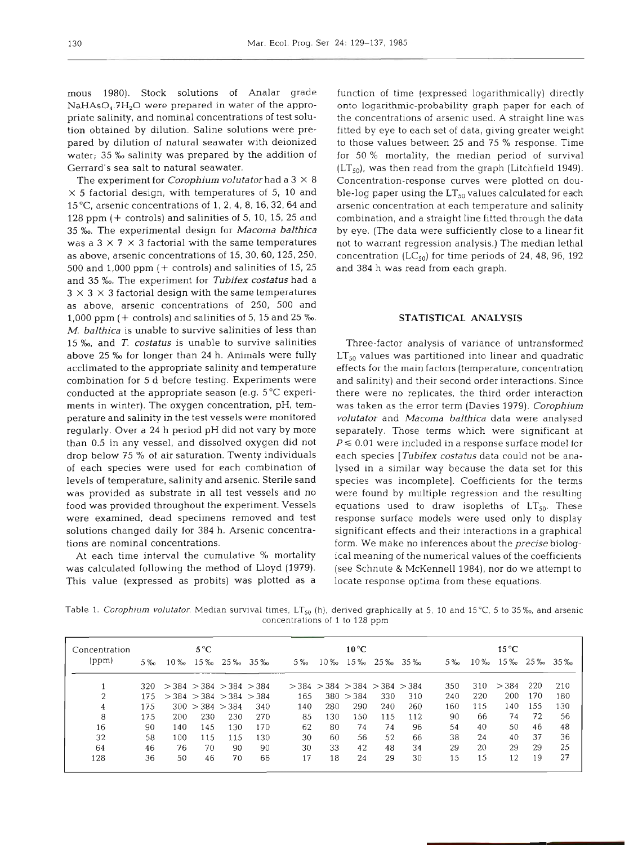mous 1980). Stock solutions of Analar grade  $NaHAsO<sub>4</sub>.7H<sub>2</sub>O$  were prepared in water of the appropriate salinity, and nominal concentrations of test solution obtained by dilution. Saline solutions were prepared by dilution of natural seawater with deionized water; 35 % salinity was prepared by the addition of Gerrard's sea salt to natural seawater.

The experiment for *Corophium volutator* had a  $3 \times 8$  $\times$  5 factorial design, with temperatures of 5, 10 and 15"C, arsenic concentrations of 1, 2, 4, 8, 16, 32, 64 and 128 ppm (+ controls) and salinities of 5, 10, 15, 25 and 35 *%o.* The experimental design for *Macoma balthica*  was a  $3 \times 7 \times 3$  factorial with the same temperatures as above, arsenic concentrations of 15, 30, 60, 125, 250, 500 and 1,000 ppm  $(+$  controls) and salinities of 15, 25 and 35 **%o.** The experiment for *Tubifex costatus* had a  $3 \times 3 \times 3$  factorial design with the same temperatures as above, arsenic concentrations of 250, 500 and 1,000 ppm (+ controls) and salinities of 5, 15 and 25 %. *M. balthica* is unable to survive salinities of less than 15 *Yw,* and *T. costatus* is unable to survive salinities above 25 *%o* for longer than 24 h. Animals were fully acclimated to the appropriate salinity and temperature combination for 5 d before testing. Experiments were conducted at the appropriate season (e.g. 5°C experiments in winter). The oxygen concentration, pH, temperature and salinity in the test vessels were monitored regularly. Over a 24 h period pH did not vary by more than 0.5 in any vessel, and dissolved oxygen did not drop below 75 % of air saturation. Twenty individuals of each species were used for each combination of levels of temperature, salinity and arsenic. Sterile sand was provided as substrate in all test vessels and no food was provided throughout the experiment. Vessels were examined, dead specimens removed and test solutions changed daily for 384 h. Arsenic concentrations are nominal concentrations.

At each time interval the cumulative % mortality was calculated following the method of Lloyd (1979). This value (expressed as probits) was plotted as a

function of time (expressed logarithmically) directly onto logarithmic-probability graph paper for each of the concentrations of arsenic used. A straight line was fitted by eye to each set of data, giving greater weight to those values between 25 and 75 % response. Time for 50 % mortality, the median period of survival  $(LT_{50})$ , was then read from the graph (Litchfield 1949). Concentration-response curves were plotted on double-log paper using the  $LT_{50}$  values calculated for each arsenic concentration at each temperature and salinity combination, and a straight line fitted through the data by eye. (The data were sufficiently close to a linear fit not to warrant regression analysis.) The median lethal concentration  $(LC_{50})$  for time periods of 24, 48, 96, 192 and 384 h was read from each graph.

### **STATISTICAL ANALYSIS**

Three-factor analysis of variance of untransformed  $LT_{50}$  values was partitioned into linear and quadratic effects for the main factors (temperature, concentration and salinity) and their second order interactions. Since there were no replicates, the third order interaction was taken as the error term (Davies 1979). *Corophium volutator* and *Macoma balthica* data were analysed separately. Those terms which were significant at  $P \le 0.01$  were included in a response surface model for each species *[Tubifex costatus* data could not be analysed in a similar way because the data set for this species was incomplete]. Coefficients for the terms were found by multiple regression and the resulting equations used to draw isopleths of  $LT_{50}$ . These response surface models were used only to display significant effects and their interactions in a graphical form. We make no inferences about the *precise* biological meaning of the numerical values of the coefficients (see Schnute & McKennell 1984), nor do we attempt to locate response optima from these equations.

Table 1. *Corophium volutator.* Median survival times, LT<sub>50</sub> (h), derived graphically at 5, 10 and 15°C, 5 to 35‰, and arsenic concentrations of 1 to 128 ppm

| Concentration<br>(ppm) | 5%  | $10\%$ | $5^{\circ}$ C<br>15 ‰           | 25% 35% |     | $5\%$ | $10\%$                                  | $10^{\circ}$ C<br>$15\%$ |     | $2.5\%$ $3.5\%$ | $.5\%$ | 10% | $15^{\circ}$ C | 15% 25% 35% |     |
|------------------------|-----|--------|---------------------------------|---------|-----|-------|-----------------------------------------|--------------------------|-----|-----------------|--------|-----|----------------|-------------|-----|
|                        | 320 |        | $>$ 384 $>$ 384 $>$ 384 $>$ 384 |         |     |       | $>$ 384 $>$ 384 $>$ 384 $>$ 384 $>$ 384 |                          |     |                 | 350    | 310 | > 384          | 220         | 210 |
| 2                      | 175 |        | $>$ 384 $>$ 384 $>$ 384 $>$ 384 |         |     | 165   |                                         | 380 > 384                | 330 | 310             | 240    | 220 | 200            | 170         | 180 |
| 4                      | 175 |        | 300 > 384 > 384                 |         | 340 | 140   | 280                                     | 290                      | 240 | 260             | 160    | 115 | 140            | 155         | 130 |
| 8                      | 175 | 200    | 230                             | 230     | 270 | 85    | 130                                     | 150                      | 115 | 112             | 90     | 66  | 74             | 72          | 56  |
| 16                     | 90  | 140    | 145                             | 130     | 170 | 62    | 80                                      | 74                       | 74  | 96              | 54     | 40  | 50             | 46          | 48  |
| 32                     | 58  | 100    | 115                             | 115     | 130 | 30    | 60                                      | 56                       | 52  | 66              | 38     | 24  | 40             | 37          | 36  |
| 64                     | 46  | 76     | 70                              | 90      | 90  | 30    | 33                                      | 42                       | 48  | 34              | 29     | 20  | 29             | 29          | 25  |
| 128                    | 36  | 50     | 46                              | 70      | 66  | 17    | 18                                      | 24                       | 29  | 30              | 15     | 15  | 12             | 19          | 27  |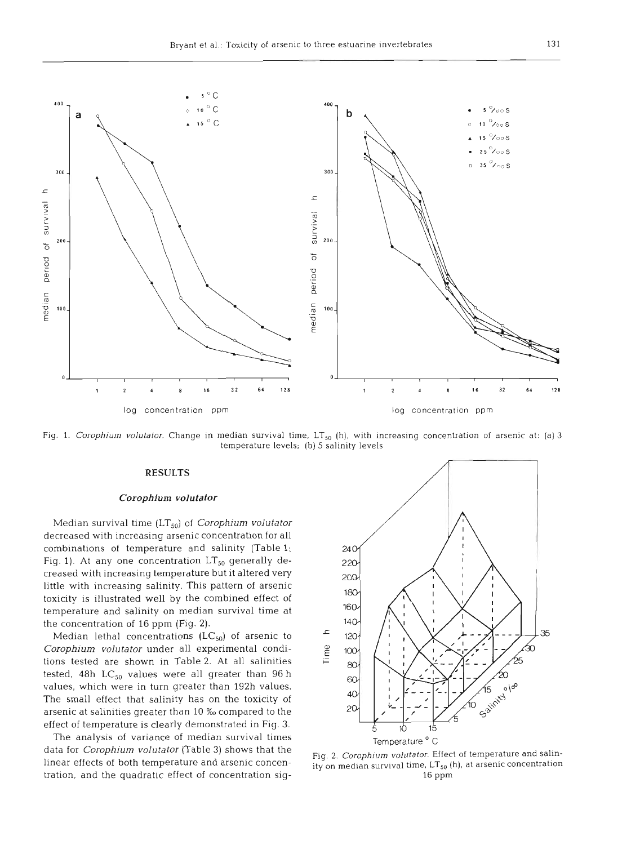

Fig. 1. *Corophium volutator.* Change in median survival time, LT<sub>50</sub> (h), with increasing concentration of arsenic at: (a) 3 temperature levels; (b) 5 salinity levels

#### *Corophium volutator* l

Median survival time (LT,,) of *Corophium volutator*  decreased with increasing arsenic concentration for all combinations of temperature and salinity (Table l; Fig. 1). At any one concentration  $LT_{50}$  generally decreased with increasing temperature but it altered very little with increasing salinity. This pattern of arsenic toxicity is illustrated well by the combined effect of temperature and salinity on median survival time at the concentration of 16 ppm (Fig. **2).** 

*Corophium volutator* under all experimental conditions tested are shown in Table 2. At all salinities tested, 48h  $LC_{50}$  values were all greater than 96 h values, which were in turn greater than 192h values. The small effect that salinity has on the toxicity of arsenic at salinities greater than 10 ‰ compared to the effect of temperature is clearly demonstrated in Fig. **3.** 

The analysis of variance of median survival times<br>
data for *Corophium volutator* (Table 3) shows that the<br>
linear effects of both temperature and arsenic concentration<br>
tration, and the quadratic effect of concentration



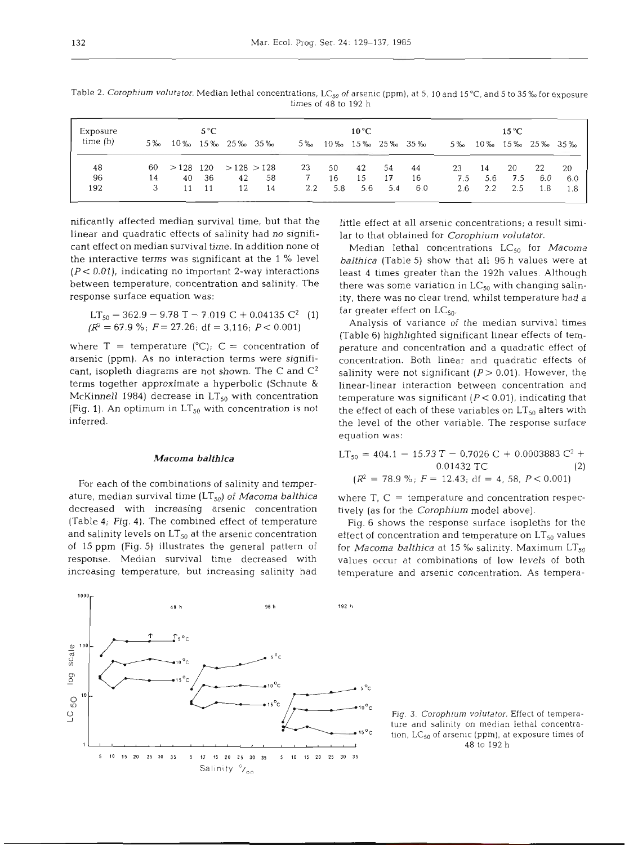| Exposure   |       | $5^{\circ}$ C |     |                             |    |       | $10^{\circ}$ C |     |      |                             | $15^{\circ}$ C |     |     |                 |       |
|------------|-------|---------------|-----|-----------------------------|----|-------|----------------|-----|------|-----------------------------|----------------|-----|-----|-----------------|-------|
| time $(h)$ | $5\%$ |               |     | 10\% 15\% 25\% 35\%         |    | $5\%$ |                |     |      | $10\%$ $15\%$ $25\%$ $35\%$ | $5\%$          |     |     | 10% 15% 25% 35% |       |
| 48         | 60    |               |     | $>$ 128 120 $>$ 128 $>$ 128 |    | 23    | 50             | 42  | -54  | 44                          | 23             | 14  | 20  | 22              | -20   |
| 96         | 14    | 40            | -36 | 42                          | 58 | 7     | 16             | 15  | 17   | 16                          | 7.5            | 5.6 | 7.5 | 6.0             | 6.0   |
| 192        | 3     | 11            | 11  | 12                          | 14 | 2.2   | 5.8            | 5.6 | -5.4 | 6.0                         | 2.6            | 2.2 | 2.5 | 1.8             | - 1.8 |

Table 2. *Corophium volutator.* Median lethal concentrations, LC<sub>50</sub> of arsenic (ppm), at 5, 10 and 15 °C, and 5 to 35 ‰ for exposure times of **48** to 192 h

nificantly affected median survival time, but that the linear and quadratic effects of salinity had no significant effect on median survival time. In addition none of the interactive terms was significant at the 1 % level  $(P < 0.01)$ , indicating no important 2-way interactions between temperature, concentration and salinity. The response surface equation was:

$$
LT_{50} = 362.9 - 9.78 T - 7.019 C + 0.04135 C2 (1)
$$
  
( $R2 = 67.9$  %;  $F = 27.26$ ; df = 3,116;  $P < 0.001$ )

where  $T =$  temperature (°C);  $C =$  concentration of arsenic (ppm). As no interaction terms were significant, isopleth diagrams are not shown. The C and  $\mathbb{C}^2$ terms together approximate a hyperbolic (Schnute & McKinnell 1984) decrease in  $LT_{50}$  with concentration (Fig. 1). An optimum in  $LT_{50}$  with concentration is not inferred.

#### *Macoma balthica*

For each of the combinations of salinity and temperature, median survival time (LT,,) of *Macoma balthica*  decreased with increasing arsenic concentration (Table 4; Fig. 4). The combined effect of temperature and salinity levels on  $LT_{50}$  at the arsenic concentration of 15 ppm (Fig. 5) illustrates the general pattern of response. Median survival time decreased with increasing temperature, but increasing salinity had little effect at all arsenic concentrations; a result similar to that obtained for *Corophium volutator.* 

Median lethal concentrations LC,, for *Macoma balthica* (Table 5) show that all 96 h values were at least 4 times greater than the 192h values. Although there was some variation in  $LC_{50}$  with changing salinity, there was no clear trend, whilst temperature had a far greater effect on  $LC_{50}$ .

Analysis of variance of the median survival times (Table 6) highlighted significant linear effects of temperature and concentration and a quadratic effect of concentration. Both linear and quadratic effects of salinity were not significant ( $P > 0.01$ ). However, the linear-linear interaction between concentration and temperature was significant *(P<* 0.01), indicating that the effect of each of these variables on  $LT_{50}$  alters with the level of the other variable. The response surface equation was:

LT<sub>50</sub> = 404.1 - 15.73 T - 0.7026 C + 0.0003883 C<sup>2</sup> +  
0.01432 TC (2)  

$$
(R^2 = 78.9\%; F = 12.43; df = 4, 58, P < 0.001)
$$

where  $T_i$ ,  $C =$  temperature and concentration respectively (as for the *Corophium* model above).

Fig. 6 shows the response surface isopleths for the effect of concentration and temperature on  $LT_{50}$  values for *Macoma balthica* at 15 % salinity. Maximum LT<sub>50</sub> values occur at combinations of low levels of both temperature and arsenic concentration. As tempera-

*<sup>V</sup>*Fig. **3** *Corophiurn volutator.* Effect of tempera tion, LC<sub>50</sub> of arsenic (ppm), at exposure times of 48 to 192 h

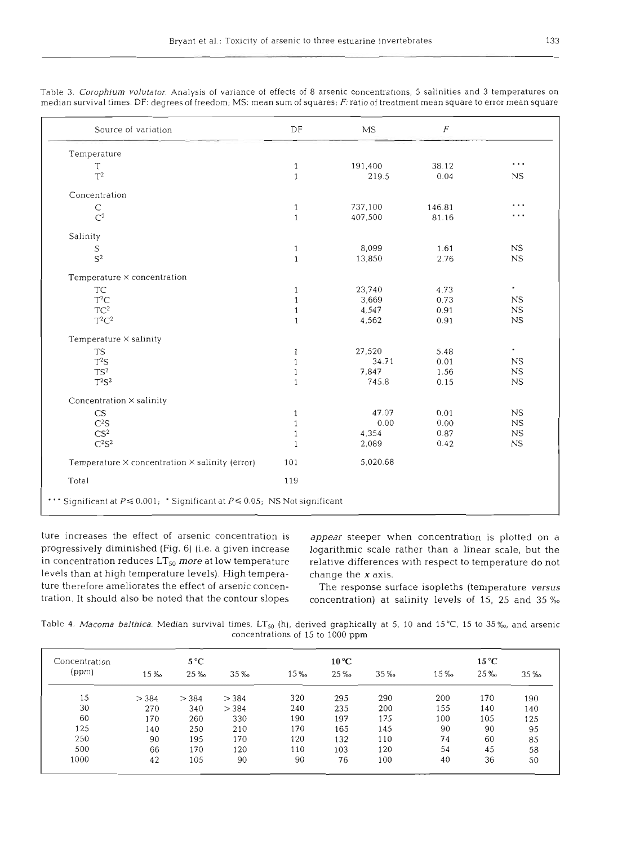| Source of variation                                                              | DF           | MS       | $\cal F$ |             |
|----------------------------------------------------------------------------------|--------------|----------|----------|-------------|
| Temperature                                                                      |              |          |          |             |
| T                                                                                | $\mathbf{1}$ | 191,400  | 38.12    | .           |
| $T^2$                                                                            | $\mathbf{1}$ | 219.5    | 0.04     | NS          |
| Concentration                                                                    |              |          |          |             |
| $\mathsf{C}$                                                                     | $\mathbf{1}$ | 737,100  | 146.81   | .           |
| $\mathbb{C}^2$                                                                   | $\mathbf{1}$ | 407,500  | 81.16    | $\cdots$    |
| Salinity                                                                         |              |          |          |             |
| S                                                                                | $\mathbf{1}$ | 8,099    | 1.61     | NS          |
| $S^2$                                                                            | $\mathbf{1}$ | 13,850   | 2.76     | NS          |
| Temperature × concentration                                                      |              |          |          |             |
| <b>TC</b>                                                                        | $\mathbf{1}$ | 23,740   | 4.73     | $\bullet$   |
| $T^2C$                                                                           | 1            | 3,669    | 0.73     | NS.         |
| $TC^2$                                                                           | $\mathbf{1}$ | 4,547    | 0.91     | NS          |
| $T^2C^2$                                                                         | $\mathbf{1}$ | 4,562    | 0.91     | NS          |
| Temperature $\times$ salinity                                                    |              |          |          |             |
| <b>TS</b>                                                                        | $\mathbf{1}$ | 27,520   | 5.48     | $\bullet$   |
| $T^2S$                                                                           | $\mathbf{1}$ | 34.71    | 0.01     | NS.         |
| TS <sup>2</sup>                                                                  | $\mathbf{1}$ | 7.847    | 1.56     | $_{\rm NS}$ |
| $T^2S^2$                                                                         | $\mathbf{1}$ | 745.8    | 0.15     | $_{NS}$     |
| Concentration × salinity                                                         |              |          |          |             |
| <b>CS</b>                                                                        | 1            | 47.07    | 0.01     | NS          |
| C <sup>2</sup> S                                                                 | $\mathbf{1}$ | 0.00     | 0.00     | NS          |
| CS <sup>2</sup>                                                                  | $\mathbf{1}$ | 4,354    | 0.87     | NS          |
| C <sup>2</sup> S <sup>2</sup>                                                    | $\mathbf{1}$ | 2,089    | 0.42     | NS          |
| Temperature $\times$ concentration $\times$ salinity (error)                     | 101          | 5,020.68 |          |             |
| Total                                                                            | 119          |          |          |             |
| Significant at $P \le 0.001$ ; 'Significant at $P \le 0.05$ ; NS Not significant |              |          |          |             |

Table 3. *Corophium volutator.* Analysis of variance of effects of 8 arsenic concentrations, 5 salinities and 3 temperatures on median survival times. DF: degrees of freedom; MS: mean sum of squares; F: ratio of treatment mean square to error mean square

ture increases the effect of arsenic concentration is *appear* steeper when concentration is plotted on a in concentration reduces  $LT_{50}$  more at low temperature relative differences with respect to temperature do not levels than at high temperature levels). High tempera- change the **X** axis. ture therefore ameliorates the effect of arsenic concen-<br>The response surface isopleths (temperature versus

progressively diminished (Fig. 6) (i.e. a given increase logarithmic scale rather than a linear scale, but the

tration. It should also be noted that the contour slopes concentration) at salinity levels of 15, 25 and 35 %

Table 4. *Macoma balthica.* Median survival times, LT<sub>50</sub> (h), derived graphically at 5, 10 and 15°C, 15 to 35‰, and arsenic concentrations of 15 to 1000 ppm

| Concentration<br>(ppm) | $5^{\circ}$ C |       |      |      | $10^{\circ}$ C |      | $15^{\circ}$ C |     |      |  |
|------------------------|---------------|-------|------|------|----------------|------|----------------|-----|------|--|
|                        | 15 ‰          | 25 ‰  | 35 ‰ | 15 ‰ | 25 ‰           | 35 ‰ | 15 ‰           | 25% | 35 ‰ |  |
| 15                     | > 384         | > 384 | >384 | 320  | 295            | 290  | 200            | 170 | 190  |  |
| 30                     | 270           | 340   | >384 | 240  | 235            | 200  | 155            | 140 | 140  |  |
| 60                     | 170           | 260   | 330  | 190  | 197            | 175  | 100            | 105 | 125  |  |
| 125                    | 140           | 250   | 210  | 170  | 165            | 145  | 90             | 90  | 95   |  |
| 250                    | 90            | 195   | 170  | 120  | 132            | 110  | 74             | 60  | 85   |  |
| 500                    | 66            | 170   | 120  | 110  | 103            | 120  | 54             | 45  | 58   |  |
| 1000                   | 42            | 105   | 90   | 90   | 76             | 100  | 40             | 36  | 50   |  |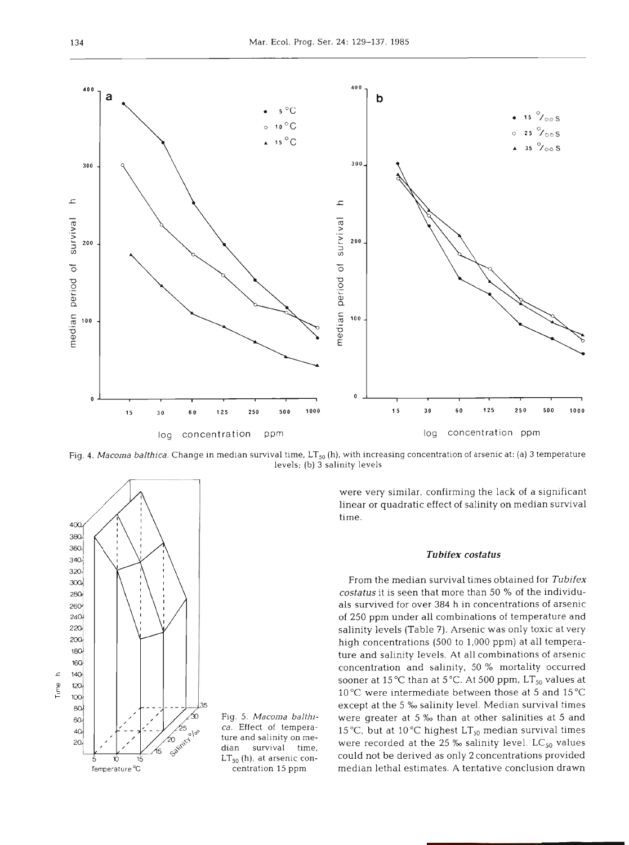

g*. 4. Macoma balthica.* Change in median survival time, LT<sub>50</sub> (h), with increasing concentration of arsenic at: (a) 3 temperature levels; (b) **3** salinity levels



were very similar, confirming the lack of a significant linear or quadratic effect of salinity on median survival time.

### *Tubifex costatus*

From the median survival times obtained for *Tubifex*  costatus it is seen that more than 50 % of the individuals survived for over 384 h in concentrations of arsenic of 250 ppm under all combinations of temperature and salinity levels (Table 7). Arsenic was only toxic at very high concentrations (500 to 1,000 ppm) at all temperature and salinity levels. At all combinations of arsenic concentration and salinity, 50 % mortality occurred sooner at 15 °C than at 5 °C. At 500 ppm, LT<sub>50</sub> values at 10°C were intermediate between those at 5 and 15°C except at the 5 % salinity level. Median survival times Fig. 5. *Macoma balthi*- were greater at 5 % than at other salinities at 5 and ca. Effect of tempera-  $15\%$  but at  $10\%$  big bact  $1T$ , modian survival times ca. Effect of tempera- 15°C, but at 10°C highest  $LT_{50}$  median survival times ture and salinity on median survival time, were recorded at the 25  $\%$  salinity level. LC<sub>50</sub> values LT<sub>50</sub> (h), at arsenic concould not be derived as only 2 concentrations provided  $\frac{1}{5}$   $\frac{1}{5}$   $\frac{1}{5}$   $\frac{1}{5}$   $\frac{1}{5}$   $\frac{1}{5}$   $\frac{1}{5}$   $\frac{1}{5}$   $\frac{1}{5}$   $\frac{1}{5}$   $\frac{1}{5}$   $\frac{1}{5}$   $\frac{1}{5}$   $\frac{1}{5}$   $\frac{1}{5}$   $\frac{1}{5}$   $\frac{1}{5}$   $\frac{1}{5}$   $\frac{1}{5}$   $\frac{1}{5}$   $\frac{1}{5}$   $\frac{1}{5}$  median lethal estimates. A tentative conclusion drawn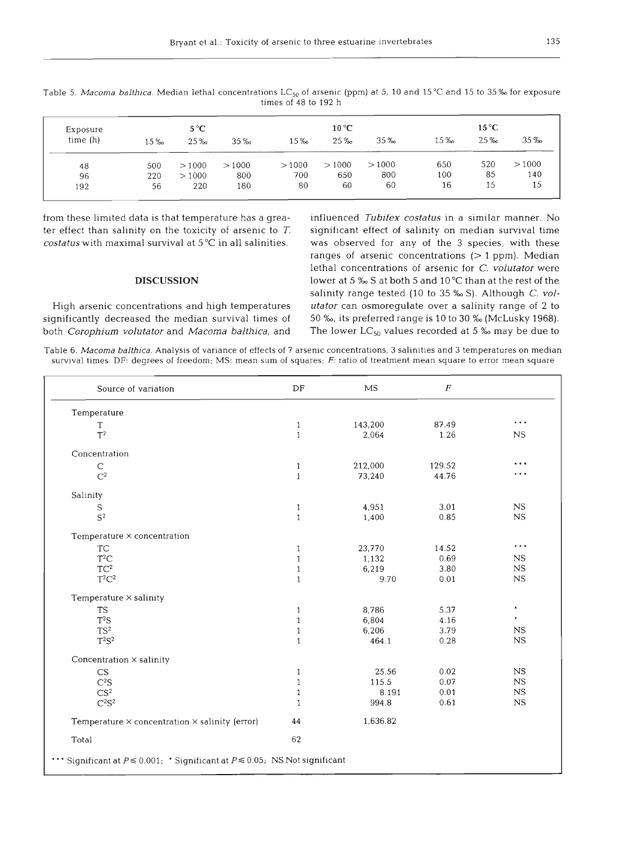| Exposure<br>time (h) | $15\%$ | $5^{\circ}$ C<br>25% | $35\%$ | 15‰   | $10^{\circ}$ C<br>25 ‰ | $35\%$ | 15 ‰ | $15^{\circ}$ C<br>25% | $35\%$ |
|----------------------|--------|----------------------|--------|-------|------------------------|--------|------|-----------------------|--------|
| 48                   | 500    | >1000                | >1000  | >1000 | >1000                  | >1000  | 650  | 520                   | >1000  |
| 96                   | 220    | >1000                | 800    | 700   | 650                    | 800    | 100  | 85                    | 140    |
| 192                  | 56     | 220                  | 180    | 80    | 60                     | 60     | 16   | 15                    | 15     |

Table 5. *Macoma balthica*. Median lethal concentrations LC<sub>50</sub> of arsenic (ppm) at 5, 10 and 15 °C and 15 to 35 % for exposure times of 48 to 192 h

ter effect than salinity on the toxicity of arsenic to  $T$ . significant effect of salinity on median survival time

significantly decreased the median survival times of 50 *%o,* its preferred range is 10 to 30 *%o* (McLusky 1968). both *Corophium volutator* and *Macoma balthica*, and The lower LC<sub>50</sub> values recorded at 5 % may be due to

from these limited data is that temperature has a grea- influenced *Tubifex costatus* in a similar manner. No *costatus* with maximal survival at 5°C in all salinities. was observed for any of the 3 species, with these ranges of arsenic concentrations  $(> 1$  ppm). Median lethal concentrations of arsenic for *C. volutator* were **DISCUSSION** lower at 5 *%o* S at both 5 and 10°C than at the rest of the salinity range tested (10 to 35 % S). Although *C. vol-*High arsenic concentrations and high temperatures *utator* can osmoregulate over a salinity range of 2 to

Table 6. *Macoma balthica.* Analysis of variance of effects of 7 arsenic concentrations, 3 salinities and 3 temperatures on median survival times. DF: degrees of freedom; MS: mean sum of squares;  $F$ : ratio of treatment mean square to error mean square

| Source of variation                                                              | DF           | <b>MS</b> | $\boldsymbol{F}$ |           |
|----------------------------------------------------------------------------------|--------------|-----------|------------------|-----------|
| Temperature                                                                      |              |           |                  |           |
| T                                                                                | $\mathbf{1}$ | 143,200   | 87.49            | $\cdots$  |
| $T^2$                                                                            | $\mathbf{1}$ | 2,064     | 1.26             | <b>NS</b> |
| Concentration                                                                    |              |           |                  |           |
| C                                                                                | $\mathbf{1}$ | 212,000   | 129.52           | .         |
| $C^2$                                                                            | $\mathbf{1}$ | 73,240    | 44.76            | .         |
| Salinity                                                                         |              |           |                  |           |
| S                                                                                | $\mathbf{1}$ | 4,951     | 3.01             | <b>NS</b> |
| $S^2$                                                                            | $\mathbf{1}$ | 1,400     | 0.85             | NS        |
| Temperature X concentration                                                      |              |           |                  |           |
| <b>TC</b>                                                                        | $\mathbf{1}$ | 23,770    | 14.52            | $\cdots$  |
| $T^2C$                                                                           | $\mathbf{1}$ | 1.132     | 0.69             | NS.       |
| $TC^2$                                                                           | $\mathbf{1}$ | 6,219     | 3.80             | NS        |
| $T^2C^2$                                                                         | $\mathbf{1}$ | 9.70      | 0.01             | <b>NS</b> |
| Temperature $\times$ salinity                                                    |              |           |                  |           |
| <b>TS</b>                                                                        | $\mathbf{1}$ | 8,786     | 5.37             | $\bullet$ |
| $T^2S$                                                                           | $\mathbf{1}$ | 6,804     | 4.16             | $\bullet$ |
| TS <sup>2</sup>                                                                  | $\mathbf{1}$ | 6,206     | 3.79             | NS        |
| $T^2S^2$                                                                         | $\mathbf{1}$ | 464.1     | 0.28             | <b>NS</b> |
| Concentration × salinity                                                         |              |           |                  |           |
| CS                                                                               | $\mathbf{1}$ | 25.56     | 0.02             | NS        |
| C <sup>2</sup> S                                                                 | $\mathbf{1}$ | 115.5     | 0.07             | NS        |
| CS <sup>2</sup>                                                                  | $\mathbf{1}$ | 8.191     | 0.01             | NS        |
| $C^2S^2$                                                                         | $\mathbf{1}$ | 994.8     | 0.61             | <b>NS</b> |
| Temperature $\times$ concentration $\times$ salinity (error)                     | 44           | 1,636.82  |                  |           |
| Total                                                                            | 62           |           |                  |           |
| Significant at $P \le 0.001$ ; 'Significant at $P \le 0.05$ ; NS Not significant |              |           |                  |           |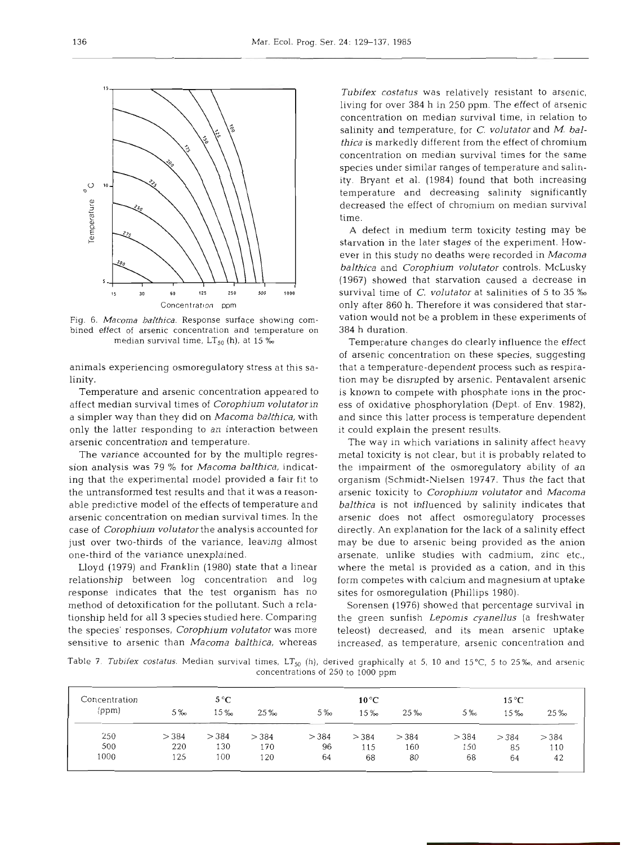

Fig. 6. *Macoma balthica.* Response surface showing combined effect of arsenic concentration and temperature on median survival time, LT<sub>50</sub> (h), at 15 %

animals experiencing osmoregulatory stress at this salinity.

Temperature and arsenic concentration appeared to affect median survival times of Corophium volutatorin a simpler way than they did on Macoma balthica, with only the latter responding to an interaction between arsenic concentration and temperature.

The variance accounted for by the multiple regression analysis was 79 % for Macoma balthica, indicating that the experimental model provided a fair fit to the untransformed test results and that it was a reasonable predictive model of the effects of temperature and arsenic concentration on median survival times. In the case of Corophium volutatorthe analysis accounted for just over two-thirds of the variance, leaving almost one-third of the variance unexplained.

Lloyd (1979) and Franklin (1980) state that a linear relationship between log concentration and log response indicates that the test organism has no method of detoxification for the pollutant. Such a relationship held for all **3** species studied here. Comparing the species' responses, Corophium volutator was more sensitive to arsenic than *Macoma balthica*, whereas

Tubifex costatus was relatively resistant to arsenic, living for over 384 h in 250 ppm. The effect of arsenic concentration on median survival time, in relation to salinity and temperature, for C. volutator and M. balthica is markedly different from the effect of chromium concentration on median survival times for the same species under similar ranges of temperature and salinity. Bryant et al. (1984) found that both increasing temperature and decreasing salinity significantly decreased the effect of chromium on median survival time.

A defect in medium term toxicity testing may be starvation in the later stages of the experiment. However in this study no deaths were recorded in Macoma balthica and Corophium volutator controls. McLusky (1967) showed that starvation caused a decrease in survival time of C. volutator at salinities of 5 to 35 % only after 860 h. Therefore it was considered that starvation would not be a problem in these experiments of 384 h duration.

Temperature changes do clearly influence the effect of arsenic concentration on these species, suggesting that a temperature-dependent process such as respiration may be disrupted by arsenic. Pentavalent arsenic is known to compete with phosphate ions in the process of oxidative phosphorylation (Dept. of Env. 1982), and since this latter process is temperature dependent it could explain the present results.

The way in which variations in salinity affect heavy metal toxicity is not clear, but it is probably related to the impairment of the osmoregulatory ability of an organism (Schmidt-Nielsen 19747. Thus the fact that arsenic toxicity to Corophium volutator and Macoma balthica is not influenced by salinity indicates that arsenic does not affect osmoregulatory processes directly. An explanation for the lack of a salinity effect may be due to arsenic being provided as the anion arsenate, unlike studies with cadmium, zinc etc., where the metal is provided as a cation, and in this form competes with calcium and magnesium at uptake sites for osmoregulation (Phillips 1980).

Sorensen (1976) showed that percentage survival in the green sunfish Lepomis cyanellus (a freshwater teleost) decreased, and its mean arsenic uptake increased, as temperature, arsenic concentration and

Table 7. Tubifex costatus. Median survival times, LT<sub>50</sub> (h), derived graphically at 5, 10 and 15°C, 5 to 25‰, and arsenic concentrations of 250 to 1000 ppm

| Concentration |      | $5^{\circ}$ C |      |       | $10^{\circ}$ C |       | $15^{\circ}$ C |       |      |  |
|---------------|------|---------------|------|-------|----------------|-------|----------------|-------|------|--|
| (ppm)         | 5%   | 15 ‰          | 25%  | $5\%$ | 15 ‰           | 25 ‰  | $5\%$          | 15%   | 25%  |  |
| 250           | >384 | >384          | >384 | > 384 | > 384          | > 384 | >384           | > 384 | >384 |  |
| 500           | 220  | 130           | 170  | 96    | 115            | 160   | 150            | 85    | 110  |  |
| 1000          | 125  | 100           | 120  | 64    | 68             | 80    | 68             | 64    | 42   |  |